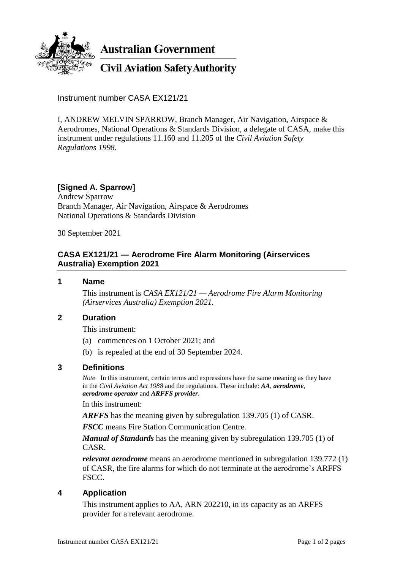

**Australian Government** 

**Civil Aviation Safety Authority** 

Instrument number CASA EX121/21

I, ANDREW MELVIN SPARROW, Branch Manager, Air Navigation, Airspace & Aerodromes, National Operations & Standards Division, a delegate of CASA, make this instrument under regulations 11.160 and 11.205 of the *Civil Aviation Safety Regulations 1998*.

# **[Signed A. Sparrow]**

Andrew Sparrow Branch Manager, Air Navigation, Airspace & Aerodromes National Operations & Standards Division

30 September 2021

## **CASA EX121/21 — Aerodrome Fire Alarm Monitoring (Airservices Australia) Exemption 2021**

#### **1 Name**

This instrument is *CASA EX121/21 — Aerodrome Fire Alarm Monitoring (Airservices Australia) Exemption 2021*.

### **2 Duration**

This instrument:

- (a) commences on 1 October 2021; and
- (b) is repealed at the end of 30 September 2024.

### **3 Definitions**

*Note* In this instrument, certain terms and expressions have the same meaning as they have in the *Civil Aviation Act 1988* and the regulations. These include: *AA*, *aerodrome*, *aerodrome operator* and *ARFFS provider*.

In this instrument:

*ARFFS* has the meaning given by subregulation 139.705 (1) of CASR.

*FSCC* means Fire Station Communication Centre.

*Manual of Standards* has the meaning given by subregulation 139.705 (1) of CASR.

*relevant aerodrome* means an aerodrome mentioned in subregulation 139.772 (1) of CASR, the fire alarms for which do not terminate at the aerodrome's ARFFS FSCC.

### **4 Application**

This instrument applies to AA, ARN 202210, in its capacity as an ARFFS provider for a relevant aerodrome.